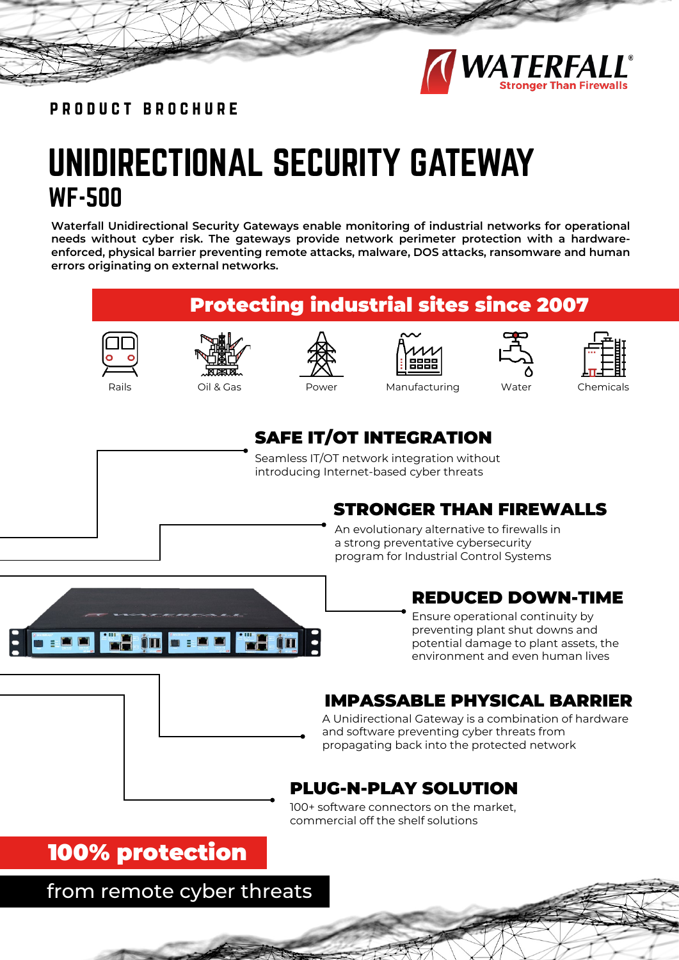

product brochure

## UNIDIRECTIONAL SECURITY GATEWAY WF-500

**Waterfall Unidirectional Security Gateways enable monitoring of industrial networks for operational needs without cyber risk. The gateways provide network perimeter protection with a hardwareenforced, physical barrier preventing remote attacks, malware, DOS attacks, ransomware and human errors originating on external networks.**